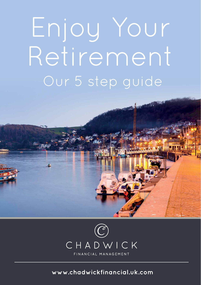# Enjoy Your Retirement Our 5 step guide



 $\circ$ 

**www.chadwickfinancial.uk.com**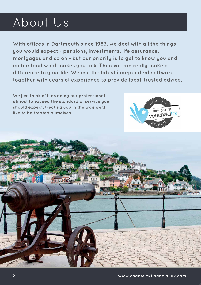## About Us

**With offices in Dartmouth since 1983, we deal with all the things you would expect - pensions, investments, life assurance, mortgages and so on - but our priority is to get to know you and understand what makes you tick. Then we can really make a difference to your life. We use the latest independent software together with years of experience to provide local, trusted advice.**

**We just think of it as doing our professional utmost to exceed the standard of service you should expect, treating you in the way we'd like to be treated ourselves.** 



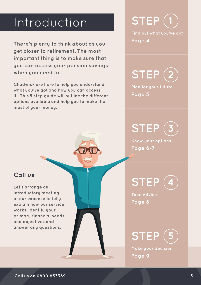### Introduction

**There's plenty to think about as you get closer to retirement. The most important thing is to make sure that you can access your pension savings when you need to.**

**Chadwick are here to help you understand what you've got and how you can access it. This 5 step guide will outline the different options available and help you to make the most of your money.**

**1 STEP**

**Find out what you've got Page 4**

**2 STEP**

**Plan for your future Page 5**

**3 STEP**

**Know your options Page 6-7**

**4 STEP**

**Take Advice Page 8**

**5 STEP**

**Make your decision Page 9**

#### **Call us**

**Let's arrange an introductory meeting at our expense to fully explain how our service works, identify your primary financial needs and objectives and answer any questions.**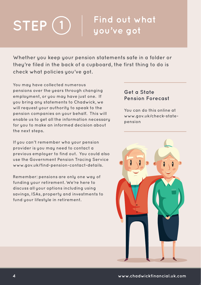### **Find out what STEP**  $\bigcup$   $\bigcup$   $\bigcup$   $\bigcup$   $\bigcup$   $\bigcup$   $\bigcup$   $\bigcup$   $\bigcup$   $\bigcup$   $\bigcup$   $\bigcup$   $\bigcup$   $\bigcup$   $\bigcup$   $\bigcup$   $\bigcup$   $\bigcup$   $\bigcup$   $\bigcup$   $\bigcup$   $\bigcup$   $\bigcup$   $\bigcup$   $\bigcup$   $\bigcup$   $\bigcup$   $\bigcup$   $\bigcup$   $\bigcup$   $\bigcup$   $\bigcup$   $\bigcup$   $\bigcup$   $\bigcup$   $\bigcup$

**Whether you keep your pension statements safe in a folder or they're filed in the back of a cupboard, the first thing to do is check what policies you've got.**

**You may have collected numerous pensions over the years through changing employment, or you may have just one. If you bring any statements to Chadwick, we will request your authority to speak to the pension companies on your behalf. This will enable us to get all the information necessary for you to make an informed decision about the next steps.**

**If you can't remember who your pension provider is you may need to contact a previous employer to find out. You could also use the Government Pension Tracing Service www.gov.uk/find-pension-contact-details.**

**Remember: pensions are only one way of funding your retirement. We're here to discuss all your options including using savings, ISAs, property and investments to fund your lifestyle in retirement.**

#### **Get a State Pension Forecast**

**You can do this online at www.gov.uk/check-statepension**

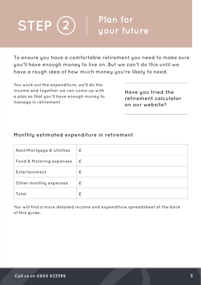

**To ensure you have a comfortable retirement you need to make sure you'll have enough money to live on. But we can't do this until we have a rough idea of how much money you're likely to need.**

**You work out the expenditure, we'll do the income and together we can come up with a plan so that you'll have enough money to manage in retirement.**

**Have you tried the retirement calculator on our website?**

#### **Monthly estimated expenditure in retirement**

| <b>Rent/Mortgage &amp; Utilities</b> | £ |
|--------------------------------------|---|
| Food & Motoring expenses             | £ |
| Entertainment                        | £ |
| Other monthly expenses               | £ |
| Total                                | £ |

**You will find a more detailed income and expenditure spreadsheet at the back of this guide.**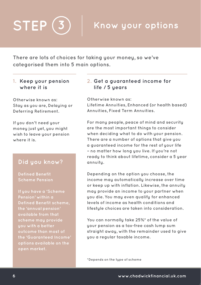## $STEP (3)$  Know your options

**There are lots of choices for taking your money, so we've categorised them into 5 main options.**

#### **1. Keep your pension where it is**

**Otherwise known as: Stay as you are, Delaying or Deferring Retirement.**

**If you don't need your money just yet, you might wish to leave your pension where it is.**

#### **Did you know?**

**Defined Benefit Scheme Pension**

**If you have a 'Scheme Pension' within a Defined Benefit scheme, the 'annual pension' available from that scheme may provide you with a better outcome than most of the 'Guaranteed Income' options available on the open market.**

#### **2. Get a guaranteed income for life / 5 years**

**Otherwise known as:** 

**Lifetime Annuities, Enhanced (or health based) Annuities, Fixed Term Annuities.**

**For many people, peace of mind and security are the most important things to consider when deciding what to do with your pension. There are a number of options that give you a guaranteed income for the rest of your life – no matter how long you live. If you're not ready to think about lifetime, consider a 5 year annuity.**

**Depending on the option you choose, the income may automatically increase over time or keep up with inflation. Likewise, the annuity may provide an income to your partner when you die. You may even qualify for enhanced levels of income as health conditions and lifestyle choices are taken into consideration.**

**You can normally take 25%\* of the value of your pension as a tax-free cash lump sum straight away, with the remainder used to give you a regular taxable income.**

**\*Depends on the type of scheme**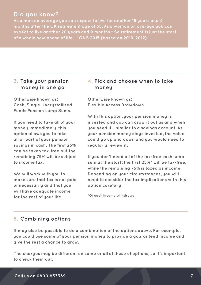#### **Did you know?**

**As a man on average you can expect to live for another 18 years and 4 months after the UK retirement age of 65. As a woman on average you can expect to live another 20 years and 9 months.\* So retirement is just the start of a whole new phase of life. \*ONS 2015 (based on 2010-2012)**

#### **3. Take your pension money in one go**

**Otherwise known as: Cash, Single Uncrystallised Funds Pension Lump Sums.**

**If you need to take all of your money immediately, this option allows you to take all or part of your pension savings in cash. The first 25% can be taken tax-free but the remaining 75% will be subject to income tax.**

**We will work with you to make sure that tax is not paid unnecessarily and that you will have adequate income for the rest of your life.**

#### **4. Pick and choose when to take money**

**Otherwise known as: Flexible Access Drawdown.**

**With this option, your pension money is invested and you can draw it out as and when you need it – similar to a savings account. As your pension money stays invested, the value could go up and down and you would need to regularly review it.**

**If you don't need all of the tax-free cash lump sum at the start; the first 25%\* will be tax-free, while the remaining 75% is taxed as income. Depending on your circumstances, you will need to consider the tax implications with this option carefully.**

**\*Of each income withdrawal**

#### **5. Combining options**

**It may also be possible to do a combination of the options above. For example, you could use some of your pension money to provide a guaranteed income and give the rest a chance to grow.**

**The charges may be different on some or all of these of options, so it's important to check them out.**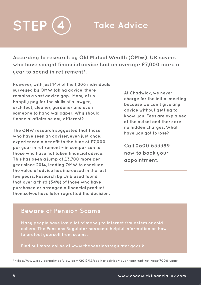## **STEP 4 Take Advice**

**According to research by Old Mutual Wealth (OMW), UK savers who have sought financial advice had on average £7,000 more a year to spend in retirement\*.**

**However, with just 14% of the 1,206 individuals surveyed by OMW taking advice, there remains a vast advice gap. Many of us happily pay for the skills of a lawyer, architect, cleaner, gardener and even someone to hang wallpaper. Why should financial affairs be any different?**

**The OMW research suggested that those who have seen an adviser, even just once, experienced a benefit to the tune of £7,000 per year in retirement – in comparison to those who have not taken financial advice. This has been a jump of £3,700 more per year since 2014, leading OMW to conclude the value of advice has increased in the last few years. Research by Unbiased found that over a third (34%) of those who have purchased or arranged a financial product themselves have later regretted the decision.**  **At Chadwick, we never charge for the initial meeting because we can't give any advice without getting to know you. Fees are explained at the outset and there are no hidden charges. What have you got to lose?**

**Call 0800 833389 now to book your appointment.**

#### **Beware of Pension Scams**

**Many people have lost a lot of money to internet fraudsters or cold callers. The Pensions Regulator has some helpful information on how to protect yourself from scams.**

**Find out more online at www.thepensionsregulator.gov.uk**

**\*https://www.adviserpointsofview.com/2017/12/seeing-adviser-even-can-net-retirees-7000-year**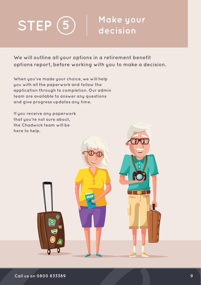

## **Make your**

**We will outline all your options in a retirement benefit options report, before working with you to make a decision.**

**When you've made your choice, we will help you with all the paperwork and follow the application through to completion. Our admin team are available to answer any questions and give progress updates any time.** 

**If you receive any paperwork that you're not sure about, the Chadwick team will be here to help.**

 $\bullet$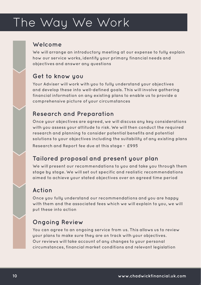## The Way We Work

#### **Welcome**

**We will arrange an introductory meeting at our expense to fully explain how our service works, identify your primary financial needs and objectives and answer any questions**

#### **Get to know you**

Your Adviser will work with you to fully understand your objectives **and develop these into well-defined goals. This will involve gathering financial information on any existing plans to enable us to provide a comprehensive picture of your circumstances**

#### **Research and Preparation**

**Once your objectives are agreed, we will discuss any key considerations with you assess your attitude to risk. We will then conduct the required research and planning to consider potential benefits and potential solutions to your objectives including the suitability of any existing plans Research and Report fee due at this stage = £995**

#### **Tailored proposal and present your plan**

**We will present our recommendations to you and take you through them stage by stage. We will set out specific and realistic recommendations aimed to achieve your stated objectives over an agreed time period**

#### **Action**

**Once you fully understand our recommendations and you are happy with them and the associated fees which we will explain to you, we will put these into action**

#### **Ongoing Review**

**You can agree to an ongoing service from us. This allows us to review your plans to make sure they are on track with your objectives. Our reviews will take account of any changes to your personal circumstances, financial market conditions and relevant legislation**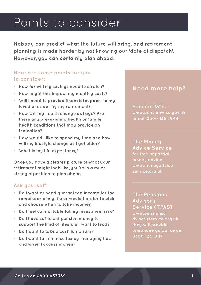## Points to consider

**Nobody can predict what the future will bring, and retirement planning is made harder by not knowing our 'date of dispatch'. However, you can certainly plan ahead.** 

#### **Here are some points for you to consider:**

- **• How far will my savings need to stretch?**
- **• How might this impact my monthly costs?**
- **• Will I need to provide financial support to my loved ones during my retirement?**
- **• How will my health change as I age? Are there any pre-existing health or family health conditions that may provide an indication?**
- **• How would I like to spend my time and how will my lifestyle change as I get older?**
- **• What is my life expectancy?**

**Once you have a clearer picture of what your retirement might look like, you're in a much stronger position to plan ahead.** 

#### **Ask yourself:**

- **• Do I want or need guaranteed income for the remainder of my life or would I prefer to pick and choose when to take income?**
- **• Do I feel comfortable taking investment risk?**
- **• Do I have sufficient pension money to support the kind of lifestyle I want to lead?**
- **• Do I want to take a cash lump sum?**
- **• Do I want to minimise tax by managing how and when I access money?**

#### **Need more help?**

**Pension Wise www.pensionwise.gov.uk or call 0800 138 3944**

**The Money Advice Service for free impartial money advice www.moneyadvice service.org.uk**

**The Pensions Advisory Service (TPAS) www.pensionsa dvisoryservice.org.uk they will provide telephone guidance on 0300 123 1047**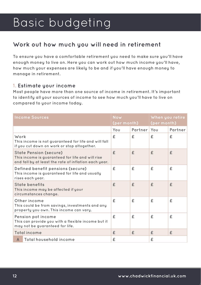## Basic budgeting

#### **Work out how much you will need in retirement**

**To ensure you have a comfortable retirement you need to make sure you'll have enough money to live on. Here you can work out how much income you'll have, how much your expenses are likely to be and if you'll have enough money to manage in retirement.**

#### **1. Estimate your income**

**Most people have more than one source of income in retirement. It's important to identify all your sources of income to see how much you'll have to live on compared to your income today.** 

|      | <b>Income Sources</b>                                                                                                                      | <b>Now</b><br>(per month) |             | When you retire<br>(per month) |         |
|------|--------------------------------------------------------------------------------------------------------------------------------------------|---------------------------|-------------|--------------------------------|---------|
|      |                                                                                                                                            | You                       | Partner You |                                | Partner |
| Work | This income is not guaranteed for life and will fall<br>if you cut down on work or stop altogether.                                        | £                         | £           | £                              | £       |
|      | <b>State Pension (secure)</b><br>This income is guaranteed for life and will rise<br>and fall by at least the rate of inflation each year. | £                         | £           | £                              | £       |
|      | Defined benefit pensions (secure)<br>This income is guaranteed for life and usually<br>rises each year.                                    | £                         | £           | £                              | £       |
|      | <b>State benefits</b><br>This income may be affected if your<br>circumstances change.                                                      | £                         | £           | $\mathbf{f}$                   | £       |
|      | Other income<br>This could be from savings, investments and any<br>property you own. This income can vary.                                 | £                         | £           | £                              | £       |
|      | Pension pot income<br>This can provide you with a flexible income but it<br>may not be guaranteed for life.                                | £                         | £           | £                              | £       |
|      | <b>Total income</b>                                                                                                                        | £                         | £           | £                              | £       |
| A    | Total household income                                                                                                                     | £                         |             | £                              |         |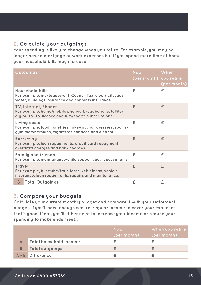#### **2. Calculate your outgoings**

**Your spending is likely to change when you retire. For example, you may no longer have a mortgage or work expenses but if you spend more time at home your household bills may increase.**

|                                                                                                                                         | Outgoings                                                                                                                           | <b>Now</b><br>(per month) you retire | When<br>(per month) |
|-----------------------------------------------------------------------------------------------------------------------------------------|-------------------------------------------------------------------------------------------------------------------------------------|--------------------------------------|---------------------|
|                                                                                                                                         | Household bills<br>For example, mortgage/rent, Council Tax, electricity, gas,<br>water, buildings insurance and contents insurance. | £                                    | £                   |
| TV, Internet, Phones<br>For example, home/mobile phones, broadband, satellite/<br>digital TV, TV licence and film/sports subscriptions. |                                                                                                                                     | £                                    | £                   |
| Living costs<br>For example, food, toiletries, takeway, hairdressers, sports/<br>gym memberships, cigarettes, tobacco and alcohol.      |                                                                                                                                     | £                                    | £                   |
|                                                                                                                                         | <b>Borrowing</b><br>For example, loan repayments, credit card repayment,<br>overdraft charges and bank charges.                     | £                                    | £                   |
|                                                                                                                                         | <b>Family and friends</b><br>For example, maintenance/child support, pet food, vet bills.                                           | £                                    | £                   |
| Travel                                                                                                                                  | For example, bus/tube/train fares, vehicle tax, vehicle<br>insurance, loan repayments, repairs and maintenance.                     | £                                    | £                   |
| B.                                                                                                                                      | <b>Total Outgoings</b>                                                                                                              | £                                    | £                   |

#### **3. Compare your budgets**

**Calculate your current monthly budget and compare it with your retirement budget. If you'll have enough secure, regular income to cover your expenses, that's good. If not, you'll either need to increase your income or reduce your spending to make ends meet..**

|                        | <b>Now</b><br>(per month) | When you retire<br>(per month) |
|------------------------|---------------------------|--------------------------------|
| Total household income |                           |                                |
| Total outgoings        |                           |                                |
| A-B Difference         |                           |                                |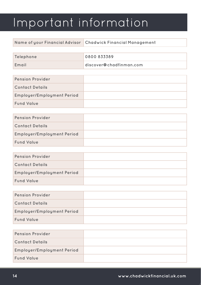## Important information

| Name of your Financial Advisor   Chadwick Financial Management |  |
|----------------------------------------------------------------|--|
|----------------------------------------------------------------|--|

| Telephone | 0800 833389             |
|-----------|-------------------------|
| Email     | discover@chadfinman.com |

| <b>Pension Provider</b>           |  |
|-----------------------------------|--|
| <b>Contact Details</b>            |  |
| <b>Employer/Employment Period</b> |  |
| <b>Fund Value</b>                 |  |

| <b>Pension Provider</b>           |  |
|-----------------------------------|--|
| <b>Contact Details</b>            |  |
| <b>Employer/Employment Period</b> |  |
| <b>Fund Value</b>                 |  |

| <b>Pension Provider</b>           |  |
|-----------------------------------|--|
| <b>Contact Details</b>            |  |
| <b>Employer/Employment Period</b> |  |
| <b>Fund Value</b>                 |  |

| <b>Pension Provider</b>           |  |
|-----------------------------------|--|
| <b>Contact Details</b>            |  |
| <b>Employer/Employment Period</b> |  |
| <b>Fund Value</b>                 |  |

| <b>Pension Provider</b>           |  |
|-----------------------------------|--|
| <b>Contact Details</b>            |  |
| <b>Employer/Employment Period</b> |  |
| <b>Fund Value</b>                 |  |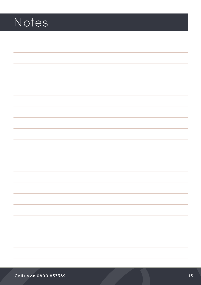## Notes